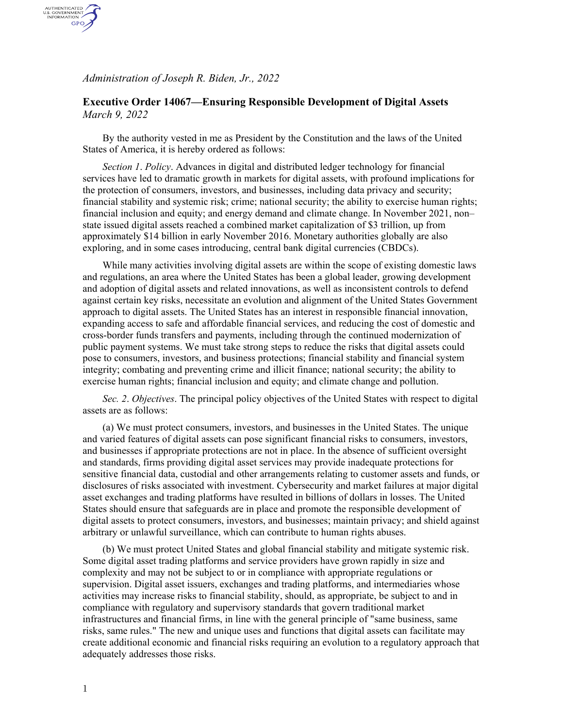*Administration of Joseph R. Biden, Jr., 2022*

AUTHENTICATED<br>U.S. GOVERNMENT<br>INFORMATION GPO

## **Executive Order 14067—Ensuring Responsible Development of Digital Assets** *March 9, 2022*

By the authority vested in me as President by the Constitution and the laws of the United States of America, it is hereby ordered as follows:

*Section 1*. *Policy*. Advances in digital and distributed ledger technology for financial services have led to dramatic growth in markets for digital assets, with profound implications for the protection of consumers, investors, and businesses, including data privacy and security; financial stability and systemic risk; crime; national security; the ability to exercise human rights; financial inclusion and equity; and energy demand and climate change. In November 2021, non– state issued digital assets reached a combined market capitalization of \$3 trillion, up from approximately \$14 billion in early November 2016. Monetary authorities globally are also exploring, and in some cases introducing, central bank digital currencies (CBDCs).

While many activities involving digital assets are within the scope of existing domestic laws and regulations, an area where the United States has been a global leader, growing development and adoption of digital assets and related innovations, as well as inconsistent controls to defend against certain key risks, necessitate an evolution and alignment of the United States Government approach to digital assets. The United States has an interest in responsible financial innovation, expanding access to safe and affordable financial services, and reducing the cost of domestic and cross-border funds transfers and payments, including through the continued modernization of public payment systems. We must take strong steps to reduce the risks that digital assets could pose to consumers, investors, and business protections; financial stability and financial system integrity; combating and preventing crime and illicit finance; national security; the ability to exercise human rights; financial inclusion and equity; and climate change and pollution.

*Sec. 2*. *Objectives*. The principal policy objectives of the United States with respect to digital assets are as follows:

(a) We must protect consumers, investors, and businesses in the United States. The unique and varied features of digital assets can pose significant financial risks to consumers, investors, and businesses if appropriate protections are not in place. In the absence of sufficient oversight and standards, firms providing digital asset services may provide inadequate protections for sensitive financial data, custodial and other arrangements relating to customer assets and funds, or disclosures of risks associated with investment. Cybersecurity and market failures at major digital asset exchanges and trading platforms have resulted in billions of dollars in losses. The United States should ensure that safeguards are in place and promote the responsible development of digital assets to protect consumers, investors, and businesses; maintain privacy; and shield against arbitrary or unlawful surveillance, which can contribute to human rights abuses.

(b) We must protect United States and global financial stability and mitigate systemic risk. Some digital asset trading platforms and service providers have grown rapidly in size and complexity and may not be subject to or in compliance with appropriate regulations or supervision. Digital asset issuers, exchanges and trading platforms, and intermediaries whose activities may increase risks to financial stability, should, as appropriate, be subject to and in compliance with regulatory and supervisory standards that govern traditional market infrastructures and financial firms, in line with the general principle of "same business, same risks, same rules." The new and unique uses and functions that digital assets can facilitate may create additional economic and financial risks requiring an evolution to a regulatory approach that adequately addresses those risks.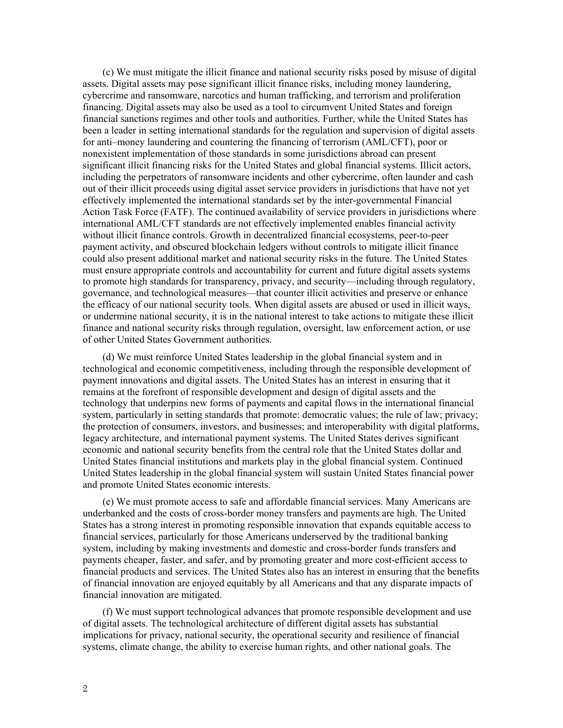(c) We must mitigate the illicit finance and national security risks posed by misuse of digital assets. Digital assets may pose significant illicit finance risks, including money laundering, cybercrime and ransomware, narcotics and human trafficking, and terrorism and proliferation financing. Digital assets may also be used as a tool to circumvent United States and foreign financial sanctions regimes and other tools and authorities. Further, while the United States has been a leader in setting international standards for the regulation and supervision of digital assets for anti–money laundering and countering the financing of terrorism (AML/CFT), poor or nonexistent implementation of those standards in some jurisdictions abroad can present significant illicit financing risks for the United States and global financial systems. Illicit actors, including the perpetrators of ransomware incidents and other cybercrime, often launder and cash out of their illicit proceeds using digital asset service providers in jurisdictions that have not yet effectively implemented the international standards set by the inter-governmental Financial Action Task Force (FATF). The continued availability of service providers in jurisdictions where international AML/CFT standards are not effectively implemented enables financial activity without illicit finance controls. Growth in decentralized financial ecosystems, peer-to-peer payment activity, and obscured blockchain ledgers without controls to mitigate illicit finance could also present additional market and national security risks in the future. The United States must ensure appropriate controls and accountability for current and future digital assets systems to promote high standards for transparency, privacy, and security—including through regulatory, governance, and technological measures—that counter illicit activities and preserve or enhance the efficacy of our national security tools. When digital assets are abused or used in illicit ways, or undermine national security, it is in the national interest to take actions to mitigate these illicit finance and national security risks through regulation, oversight, law enforcement action, or use of other United States Government authorities.

(d) We must reinforce United States leadership in the global financial system and in technological and economic competitiveness, including through the responsible development of payment innovations and digital assets. The United States has an interest in ensuring that it remains at the forefront of responsible development and design of digital assets and the technology that underpins new forms of payments and capital flows in the international financial system, particularly in setting standards that promote: democratic values; the rule of law; privacy; the protection of consumers, investors, and businesses; and interoperability with digital platforms, legacy architecture, and international payment systems. The United States derives significant economic and national security benefits from the central role that the United States dollar and United States financial institutions and markets play in the global financial system. Continued United States leadership in the global financial system will sustain United States financial power and promote United States economic interests.

(e) We must promote access to safe and affordable financial services. Many Americans are underbanked and the costs of cross-border money transfers and payments are high. The United States has a strong interest in promoting responsible innovation that expands equitable access to financial services, particularly for those Americans underserved by the traditional banking system, including by making investments and domestic and cross-border funds transfers and payments cheaper, faster, and safer, and by promoting greater and more cost-efficient access to financial products and services. The United States also has an interest in ensuring that the benefits of financial innovation are enjoyed equitably by all Americans and that any disparate impacts of financial innovation are mitigated.

(f) We must support technological advances that promote responsible development and use of digital assets. The technological architecture of different digital assets has substantial implications for privacy, national security, the operational security and resilience of financial systems, climate change, the ability to exercise human rights, and other national goals. The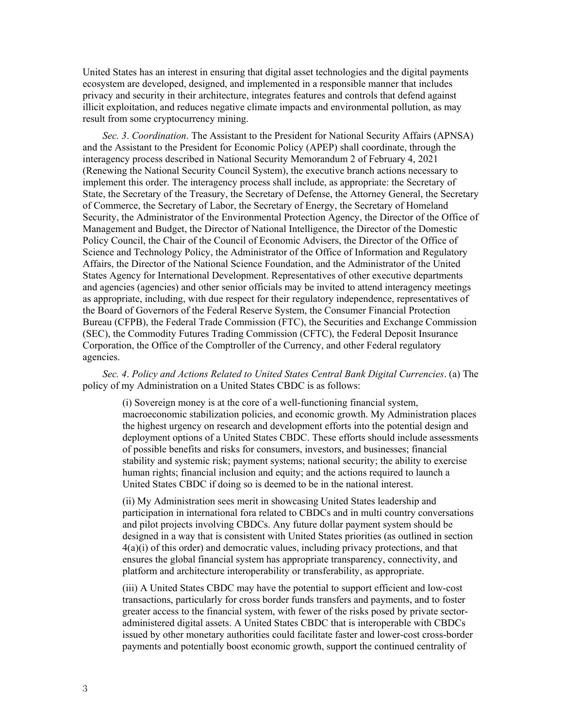United States has an interest in ensuring that digital asset technologies and the digital payments ecosystem are developed, designed, and implemented in a responsible manner that includes privacy and security in their architecture, integrates features and controls that defend against illicit exploitation, and reduces negative climate impacts and environmental pollution, as may result from some cryptocurrency mining.

*Sec. 3*. *Coordination*. The Assistant to the President for National Security Affairs (APNSA) and the Assistant to the President for Economic Policy (APEP) shall coordinate, through the interagency process described in National Security Memorandum 2 of February 4, 2021 (Renewing the National Security Council System), the executive branch actions necessary to implement this order. The interagency process shall include, as appropriate: the Secretary of State, the Secretary of the Treasury, the Secretary of Defense, the Attorney General, the Secretary of Commerce, the Secretary of Labor, the Secretary of Energy, the Secretary of Homeland Security, the Administrator of the Environmental Protection Agency, the Director of the Office of Management and Budget, the Director of National Intelligence, the Director of the Domestic Policy Council, the Chair of the Council of Economic Advisers, the Director of the Office of Science and Technology Policy, the Administrator of the Office of Information and Regulatory Affairs, the Director of the National Science Foundation, and the Administrator of the United States Agency for International Development. Representatives of other executive departments and agencies (agencies) and other senior officials may be invited to attend interagency meetings as appropriate, including, with due respect for their regulatory independence, representatives of the Board of Governors of the Federal Reserve System, the Consumer Financial Protection Bureau (CFPB), the Federal Trade Commission (FTC), the Securities and Exchange Commission (SEC), the Commodity Futures Trading Commission (CFTC), the Federal Deposit Insurance Corporation, the Office of the Comptroller of the Currency, and other Federal regulatory agencies.

*Sec. 4*. *Policy and Actions Related to United States Central Bank Digital Currencies*. (a) The policy of my Administration on a United States CBDC is as follows:

(i) Sovereign money is at the core of a well-functioning financial system, macroeconomic stabilization policies, and economic growth. My Administration places the highest urgency on research and development efforts into the potential design and deployment options of a United States CBDC. These efforts should include assessments of possible benefits and risks for consumers, investors, and businesses; financial stability and systemic risk; payment systems; national security; the ability to exercise human rights; financial inclusion and equity; and the actions required to launch a United States CBDC if doing so is deemed to be in the national interest.

(ii) My Administration sees merit in showcasing United States leadership and participation in international fora related to CBDCs and in multi country conversations and pilot projects involving CBDCs. Any future dollar payment system should be designed in a way that is consistent with United States priorities (as outlined in section  $4(a)(i)$  of this order) and democratic values, including privacy protections, and that ensures the global financial system has appropriate transparency, connectivity, and platform and architecture interoperability or transferability, as appropriate.

(iii) A United States CBDC may have the potential to support efficient and low-cost transactions, particularly for cross border funds transfers and payments, and to foster greater access to the financial system, with fewer of the risks posed by private sectoradministered digital assets. A United States CBDC that is interoperable with CBDCs issued by other monetary authorities could facilitate faster and lower-cost cross-border payments and potentially boost economic growth, support the continued centrality of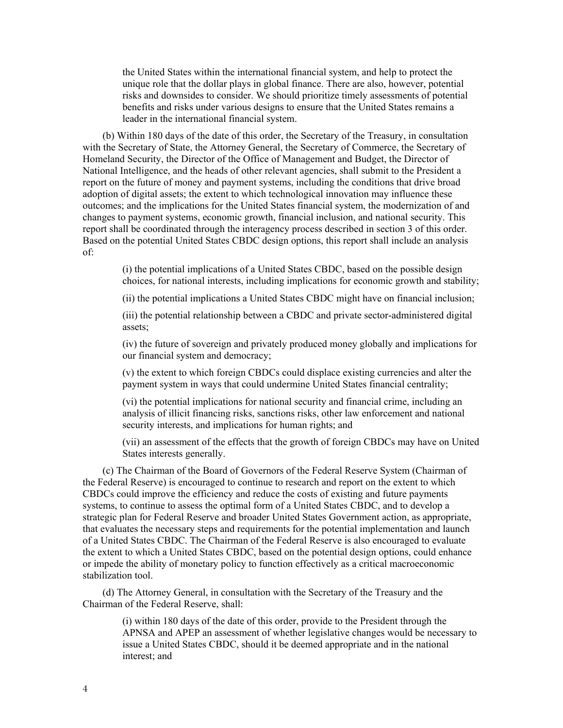the United States within the international financial system, and help to protect the unique role that the dollar plays in global finance. There are also, however, potential risks and downsides to consider. We should prioritize timely assessments of potential benefits and risks under various designs to ensure that the United States remains a leader in the international financial system.

(b) Within 180 days of the date of this order, the Secretary of the Treasury, in consultation with the Secretary of State, the Attorney General, the Secretary of Commerce, the Secretary of Homeland Security, the Director of the Office of Management and Budget, the Director of National Intelligence, and the heads of other relevant agencies, shall submit to the President a report on the future of money and payment systems, including the conditions that drive broad adoption of digital assets; the extent to which technological innovation may influence these outcomes; and the implications for the United States financial system, the modernization of and changes to payment systems, economic growth, financial inclusion, and national security. This report shall be coordinated through the interagency process described in section 3 of this order. Based on the potential United States CBDC design options, this report shall include an analysis of:

> (i) the potential implications of a United States CBDC, based on the possible design choices, for national interests, including implications for economic growth and stability;

(ii) the potential implications a United States CBDC might have on financial inclusion;

(iii) the potential relationship between a CBDC and private sector-administered digital assets;

(iv) the future of sovereign and privately produced money globally and implications for our financial system and democracy;

(v) the extent to which foreign CBDCs could displace existing currencies and alter the payment system in ways that could undermine United States financial centrality;

(vi) the potential implications for national security and financial crime, including an analysis of illicit financing risks, sanctions risks, other law enforcement and national security interests, and implications for human rights; and

(vii) an assessment of the effects that the growth of foreign CBDCs may have on United States interests generally.

(c) The Chairman of the Board of Governors of the Federal Reserve System (Chairman of the Federal Reserve) is encouraged to continue to research and report on the extent to which CBDCs could improve the efficiency and reduce the costs of existing and future payments systems, to continue to assess the optimal form of a United States CBDC, and to develop a strategic plan for Federal Reserve and broader United States Government action, as appropriate, that evaluates the necessary steps and requirements for the potential implementation and launch of a United States CBDC. The Chairman of the Federal Reserve is also encouraged to evaluate the extent to which a United States CBDC, based on the potential design options, could enhance or impede the ability of monetary policy to function effectively as a critical macroeconomic stabilization tool.

(d) The Attorney General, in consultation with the Secretary of the Treasury and the Chairman of the Federal Reserve, shall:

> (i) within 180 days of the date of this order, provide to the President through the APNSA and APEP an assessment of whether legislative changes would be necessary to issue a United States CBDC, should it be deemed appropriate and in the national interest; and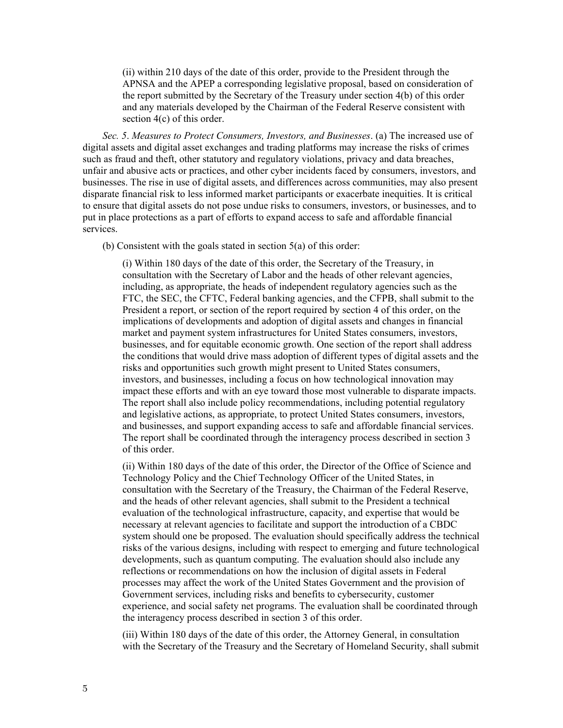(ii) within 210 days of the date of this order, provide to the President through the APNSA and the APEP a corresponding legislative proposal, based on consideration of the report submitted by the Secretary of the Treasury under section 4(b) of this order and any materials developed by the Chairman of the Federal Reserve consistent with section 4(c) of this order.

*Sec. 5*. *Measures to Protect Consumers, Investors, and Businesses*. (a) The increased use of digital assets and digital asset exchanges and trading platforms may increase the risks of crimes such as fraud and theft, other statutory and regulatory violations, privacy and data breaches, unfair and abusive acts or practices, and other cyber incidents faced by consumers, investors, and businesses. The rise in use of digital assets, and differences across communities, may also present disparate financial risk to less informed market participants or exacerbate inequities. It is critical to ensure that digital assets do not pose undue risks to consumers, investors, or businesses, and to put in place protections as a part of efforts to expand access to safe and affordable financial services.

(b) Consistent with the goals stated in section 5(a) of this order:

(i) Within 180 days of the date of this order, the Secretary of the Treasury, in consultation with the Secretary of Labor and the heads of other relevant agencies, including, as appropriate, the heads of independent regulatory agencies such as the FTC, the SEC, the CFTC, Federal banking agencies, and the CFPB, shall submit to the President a report, or section of the report required by section 4 of this order, on the implications of developments and adoption of digital assets and changes in financial market and payment system infrastructures for United States consumers, investors, businesses, and for equitable economic growth. One section of the report shall address the conditions that would drive mass adoption of different types of digital assets and the risks and opportunities such growth might present to United States consumers, investors, and businesses, including a focus on how technological innovation may impact these efforts and with an eye toward those most vulnerable to disparate impacts. The report shall also include policy recommendations, including potential regulatory and legislative actions, as appropriate, to protect United States consumers, investors, and businesses, and support expanding access to safe and affordable financial services. The report shall be coordinated through the interagency process described in section 3 of this order.

(ii) Within 180 days of the date of this order, the Director of the Office of Science and Technology Policy and the Chief Technology Officer of the United States, in consultation with the Secretary of the Treasury, the Chairman of the Federal Reserve, and the heads of other relevant agencies, shall submit to the President a technical evaluation of the technological infrastructure, capacity, and expertise that would be necessary at relevant agencies to facilitate and support the introduction of a CBDC system should one be proposed. The evaluation should specifically address the technical risks of the various designs, including with respect to emerging and future technological developments, such as quantum computing. The evaluation should also include any reflections or recommendations on how the inclusion of digital assets in Federal processes may affect the work of the United States Government and the provision of Government services, including risks and benefits to cybersecurity, customer experience, and social safety net programs. The evaluation shall be coordinated through the interagency process described in section 3 of this order.

(iii) Within 180 days of the date of this order, the Attorney General, in consultation with the Secretary of the Treasury and the Secretary of Homeland Security, shall submit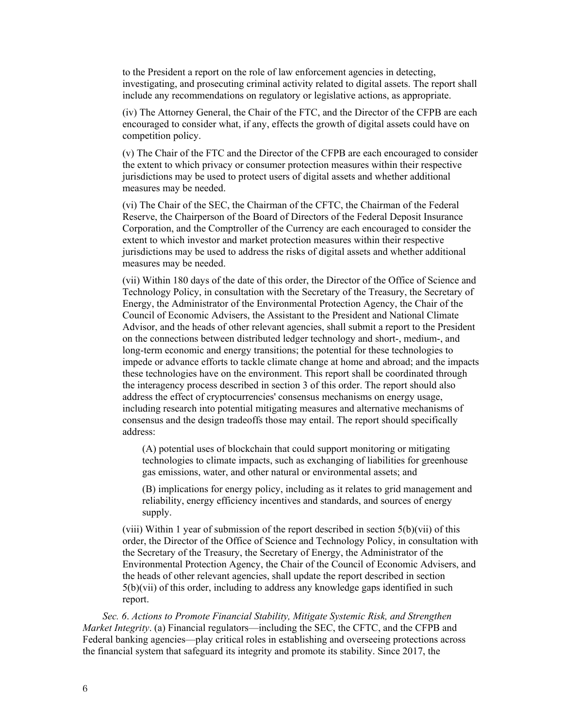to the President a report on the role of law enforcement agencies in detecting, investigating, and prosecuting criminal activity related to digital assets. The report shall include any recommendations on regulatory or legislative actions, as appropriate.

(iv) The Attorney General, the Chair of the FTC, and the Director of the CFPB are each encouraged to consider what, if any, effects the growth of digital assets could have on competition policy.

(v) The Chair of the FTC and the Director of the CFPB are each encouraged to consider the extent to which privacy or consumer protection measures within their respective jurisdictions may be used to protect users of digital assets and whether additional measures may be needed.

(vi) The Chair of the SEC, the Chairman of the CFTC, the Chairman of the Federal Reserve, the Chairperson of the Board of Directors of the Federal Deposit Insurance Corporation, and the Comptroller of the Currency are each encouraged to consider the extent to which investor and market protection measures within their respective jurisdictions may be used to address the risks of digital assets and whether additional measures may be needed.

(vii) Within 180 days of the date of this order, the Director of the Office of Science and Technology Policy, in consultation with the Secretary of the Treasury, the Secretary of Energy, the Administrator of the Environmental Protection Agency, the Chair of the Council of Economic Advisers, the Assistant to the President and National Climate Advisor, and the heads of other relevant agencies, shall submit a report to the President on the connections between distributed ledger technology and short-, medium-, and long-term economic and energy transitions; the potential for these technologies to impede or advance efforts to tackle climate change at home and abroad; and the impacts these technologies have on the environment. This report shall be coordinated through the interagency process described in section 3 of this order. The report should also address the effect of cryptocurrencies' consensus mechanisms on energy usage, including research into potential mitigating measures and alternative mechanisms of consensus and the design tradeoffs those may entail. The report should specifically address:

(A) potential uses of blockchain that could support monitoring or mitigating technologies to climate impacts, such as exchanging of liabilities for greenhouse gas emissions, water, and other natural or environmental assets; and

(B) implications for energy policy, including as it relates to grid management and reliability, energy efficiency incentives and standards, and sources of energy supply.

(viii) Within 1 year of submission of the report described in section 5(b)(vii) of this order, the Director of the Office of Science and Technology Policy, in consultation with the Secretary of the Treasury, the Secretary of Energy, the Administrator of the Environmental Protection Agency, the Chair of the Council of Economic Advisers, and the heads of other relevant agencies, shall update the report described in section 5(b)(vii) of this order, including to address any knowledge gaps identified in such report.

*Sec. 6*. *Actions to Promote Financial Stability, Mitigate Systemic Risk, and Strengthen Market Integrity*. (a) Financial regulators—including the SEC, the CFTC, and the CFPB and Federal banking agencies—play critical roles in establishing and overseeing protections across the financial system that safeguard its integrity and promote its stability. Since 2017, the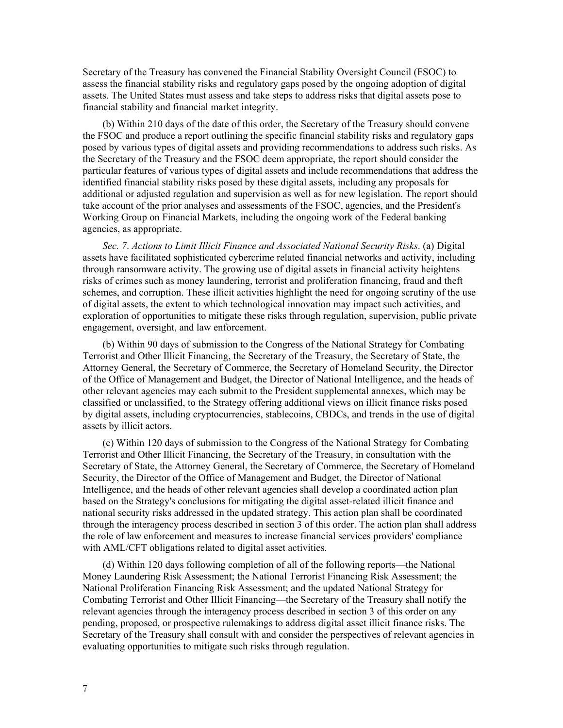Secretary of the Treasury has convened the Financial Stability Oversight Council (FSOC) to assess the financial stability risks and regulatory gaps posed by the ongoing adoption of digital assets. The United States must assess and take steps to address risks that digital assets pose to financial stability and financial market integrity.

(b) Within 210 days of the date of this order, the Secretary of the Treasury should convene the FSOC and produce a report outlining the specific financial stability risks and regulatory gaps posed by various types of digital assets and providing recommendations to address such risks. As the Secretary of the Treasury and the FSOC deem appropriate, the report should consider the particular features of various types of digital assets and include recommendations that address the identified financial stability risks posed by these digital assets, including any proposals for additional or adjusted regulation and supervision as well as for new legislation. The report should take account of the prior analyses and assessments of the FSOC, agencies, and the President's Working Group on Financial Markets, including the ongoing work of the Federal banking agencies, as appropriate.

*Sec. 7*. *Actions to Limit Illicit Finance and Associated National Security Risks*. (a) Digital assets have facilitated sophisticated cybercrime related financial networks and activity, including through ransomware activity. The growing use of digital assets in financial activity heightens risks of crimes such as money laundering, terrorist and proliferation financing, fraud and theft schemes, and corruption. These illicit activities highlight the need for ongoing scrutiny of the use of digital assets, the extent to which technological innovation may impact such activities, and exploration of opportunities to mitigate these risks through regulation, supervision, public private engagement, oversight, and law enforcement.

(b) Within 90 days of submission to the Congress of the National Strategy for Combating Terrorist and Other Illicit Financing, the Secretary of the Treasury, the Secretary of State, the Attorney General, the Secretary of Commerce, the Secretary of Homeland Security, the Director of the Office of Management and Budget, the Director of National Intelligence, and the heads of other relevant agencies may each submit to the President supplemental annexes, which may be classified or unclassified, to the Strategy offering additional views on illicit finance risks posed by digital assets, including cryptocurrencies, stablecoins, CBDCs, and trends in the use of digital assets by illicit actors.

(c) Within 120 days of submission to the Congress of the National Strategy for Combating Terrorist and Other Illicit Financing, the Secretary of the Treasury, in consultation with the Secretary of State, the Attorney General, the Secretary of Commerce, the Secretary of Homeland Security, the Director of the Office of Management and Budget, the Director of National Intelligence, and the heads of other relevant agencies shall develop a coordinated action plan based on the Strategy's conclusions for mitigating the digital asset-related illicit finance and national security risks addressed in the updated strategy. This action plan shall be coordinated through the interagency process described in section 3 of this order. The action plan shall address the role of law enforcement and measures to increase financial services providers' compliance with AML/CFT obligations related to digital asset activities.

(d) Within 120 days following completion of all of the following reports—the National Money Laundering Risk Assessment; the National Terrorist Financing Risk Assessment; the National Proliferation Financing Risk Assessment; and the updated National Strategy for Combating Terrorist and Other Illicit Financing—the Secretary of the Treasury shall notify the relevant agencies through the interagency process described in section 3 of this order on any pending, proposed, or prospective rulemakings to address digital asset illicit finance risks. The Secretary of the Treasury shall consult with and consider the perspectives of relevant agencies in evaluating opportunities to mitigate such risks through regulation.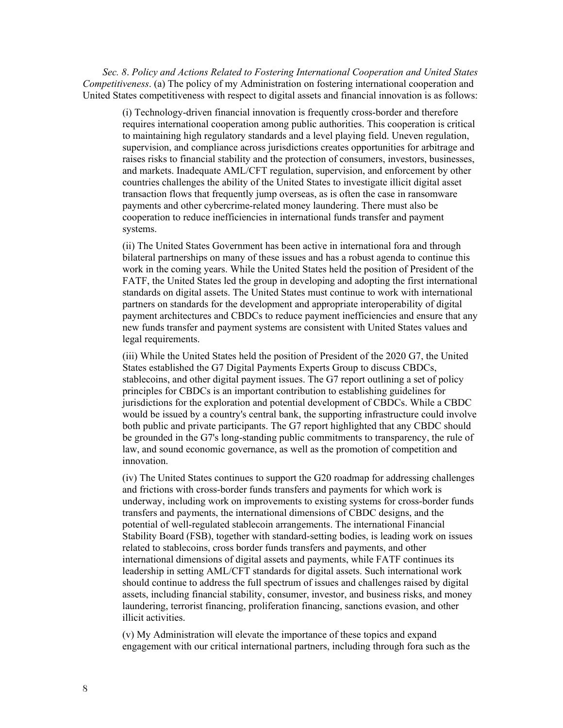*Sec. 8*. *Policy and Actions Related to Fostering International Cooperation and United States Competitiveness*. (a) The policy of my Administration on fostering international cooperation and United States competitiveness with respect to digital assets and financial innovation is as follows:

(i) Technology-driven financial innovation is frequently cross-border and therefore requires international cooperation among public authorities. This cooperation is critical to maintaining high regulatory standards and a level playing field. Uneven regulation, supervision, and compliance across jurisdictions creates opportunities for arbitrage and raises risks to financial stability and the protection of consumers, investors, businesses, and markets. Inadequate AML/CFT regulation, supervision, and enforcement by other countries challenges the ability of the United States to investigate illicit digital asset transaction flows that frequently jump overseas, as is often the case in ransomware payments and other cybercrime-related money laundering. There must also be cooperation to reduce inefficiencies in international funds transfer and payment systems.

(ii) The United States Government has been active in international fora and through bilateral partnerships on many of these issues and has a robust agenda to continue this work in the coming years. While the United States held the position of President of the FATF, the United States led the group in developing and adopting the first international standards on digital assets. The United States must continue to work with international partners on standards for the development and appropriate interoperability of digital payment architectures and CBDCs to reduce payment inefficiencies and ensure that any new funds transfer and payment systems are consistent with United States values and legal requirements.

(iii) While the United States held the position of President of the 2020 G7, the United States established the G7 Digital Payments Experts Group to discuss CBDCs, stablecoins, and other digital payment issues. The G7 report outlining a set of policy principles for CBDCs is an important contribution to establishing guidelines for jurisdictions for the exploration and potential development of CBDCs. While a CBDC would be issued by a country's central bank, the supporting infrastructure could involve both public and private participants. The G7 report highlighted that any CBDC should be grounded in the G7's long-standing public commitments to transparency, the rule of law, and sound economic governance, as well as the promotion of competition and innovation.

(iv) The United States continues to support the G20 roadmap for addressing challenges and frictions with cross-border funds transfers and payments for which work is underway, including work on improvements to existing systems for cross-border funds transfers and payments, the international dimensions of CBDC designs, and the potential of well-regulated stablecoin arrangements. The international Financial Stability Board (FSB), together with standard-setting bodies, is leading work on issues related to stablecoins, cross border funds transfers and payments, and other international dimensions of digital assets and payments, while FATF continues its leadership in setting AML/CFT standards for digital assets. Such international work should continue to address the full spectrum of issues and challenges raised by digital assets, including financial stability, consumer, investor, and business risks, and money laundering, terrorist financing, proliferation financing, sanctions evasion, and other illicit activities.

(v) My Administration will elevate the importance of these topics and expand engagement with our critical international partners, including through fora such as the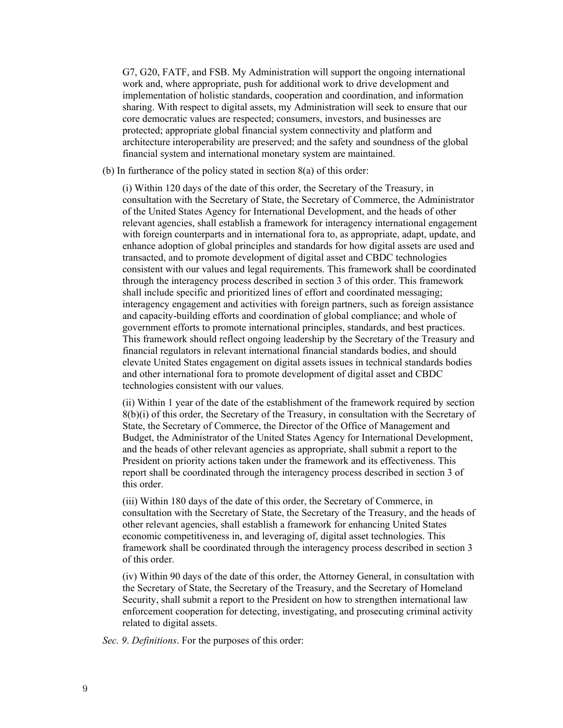G7, G20, FATF, and FSB. My Administration will support the ongoing international work and, where appropriate, push for additional work to drive development and implementation of holistic standards, cooperation and coordination, and information sharing. With respect to digital assets, my Administration will seek to ensure that our core democratic values are respected; consumers, investors, and businesses are protected; appropriate global financial system connectivity and platform and architecture interoperability are preserved; and the safety and soundness of the global financial system and international monetary system are maintained.

(b) In furtherance of the policy stated in section 8(a) of this order:

(i) Within 120 days of the date of this order, the Secretary of the Treasury, in consultation with the Secretary of State, the Secretary of Commerce, the Administrator of the United States Agency for International Development, and the heads of other relevant agencies, shall establish a framework for interagency international engagement with foreign counterparts and in international fora to, as appropriate, adapt, update, and enhance adoption of global principles and standards for how digital assets are used and transacted, and to promote development of digital asset and CBDC technologies consistent with our values and legal requirements. This framework shall be coordinated through the interagency process described in section 3 of this order. This framework shall include specific and prioritized lines of effort and coordinated messaging; interagency engagement and activities with foreign partners, such as foreign assistance and capacity-building efforts and coordination of global compliance; and whole of government efforts to promote international principles, standards, and best practices. This framework should reflect ongoing leadership by the Secretary of the Treasury and financial regulators in relevant international financial standards bodies, and should elevate United States engagement on digital assets issues in technical standards bodies and other international fora to promote development of digital asset and CBDC technologies consistent with our values.

(ii) Within 1 year of the date of the establishment of the framework required by section 8(b)(i) of this order, the Secretary of the Treasury, in consultation with the Secretary of State, the Secretary of Commerce, the Director of the Office of Management and Budget, the Administrator of the United States Agency for International Development, and the heads of other relevant agencies as appropriate, shall submit a report to the President on priority actions taken under the framework and its effectiveness. This report shall be coordinated through the interagency process described in section 3 of this order.

(iii) Within 180 days of the date of this order, the Secretary of Commerce, in consultation with the Secretary of State, the Secretary of the Treasury, and the heads of other relevant agencies, shall establish a framework for enhancing United States economic competitiveness in, and leveraging of, digital asset technologies. This framework shall be coordinated through the interagency process described in section 3 of this order.

(iv) Within 90 days of the date of this order, the Attorney General, in consultation with the Secretary of State, the Secretary of the Treasury, and the Secretary of Homeland Security, shall submit a report to the President on how to strengthen international law enforcement cooperation for detecting, investigating, and prosecuting criminal activity related to digital assets.

*Sec. 9*. *Definitions*. For the purposes of this order: